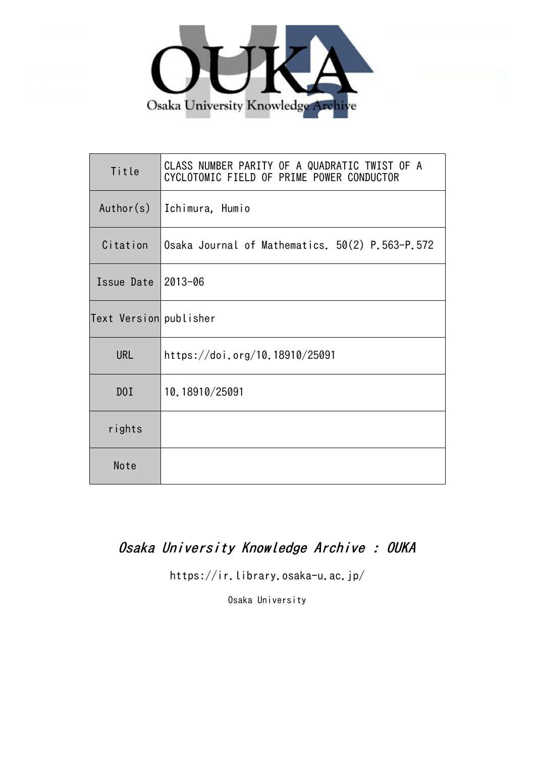

| Title                  | CLASS NUMBER PARITY OF A QUADRATIC TWIST OF A<br>CYCLOTOMIC FIELD OF PRIME POWER CONDUCTOR |
|------------------------|--------------------------------------------------------------------------------------------|
| Author(s)              | Ichimura, Humio                                                                            |
| Citation               | Osaka Journal of Mathematics. 50(2) P.563-P.572                                            |
| Issue Date             | 2013-06                                                                                    |
| Text Version publisher |                                                                                            |
| <b>URL</b>             | https://doi.org/10.18910/25091                                                             |
| D0I                    | 10.18910/25091                                                                             |
| rights                 |                                                                                            |
| Note                   |                                                                                            |

# Osaka University Knowledge Archive : OUKA

https://ir.library.osaka-u.ac.jp/

Osaka University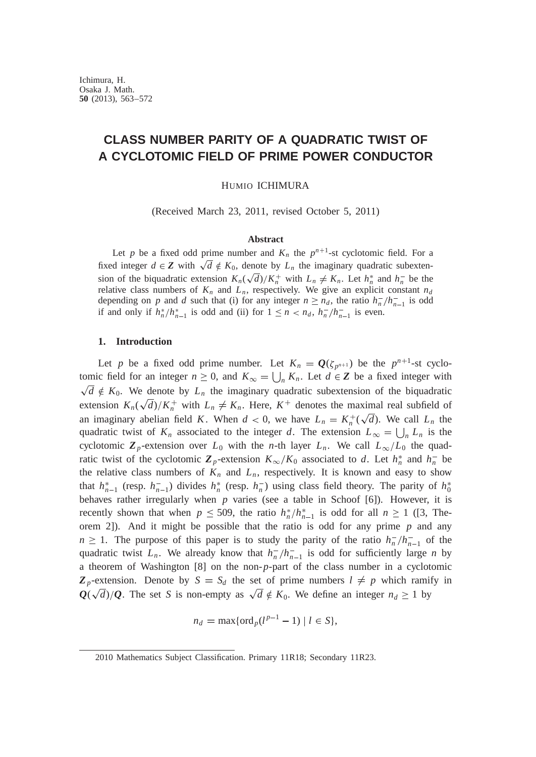# **CLASS NUMBER PARITY OF A QUADRATIC TWIST OF A CYCLOTOMIC FIELD OF PRIME POWER CONDUCTOR**

HUMIO ICHIMURA

(Received March 23, 2011, revised October 5, 2011)

# **Abstract**

Let p be a fixed odd prime number and  $K_n$  the  $p^{n+1}$ -st cyclotomic field. For a fixed integer  $d \in \mathbb{Z}$  with  $\sqrt{d} \notin K_0$ , denote by  $L_n$  the imaginary quadratic subextension of the biquadratic extension  $K_n(\sqrt{d})/K_n^+$  with  $L_n \neq K_n$ . Let  $h_n^*$  and  $h_n^-$  be the relative class numbers of  $K_n$  and  $L_n$ , respectively. We give an explicit constant  $n_d$ depending on *p* and *d* such that (i) for any integer  $n \ge n_d$ , the ratio  $h_n^-/h_{n-1}^-$  is odd if and only if  $h_n^*/h_{n-1}^*$  is odd and (ii) for  $1 \le n < n_d$ ,  $h_n^-/h_{n-1}^-$  is even.

## **1. Introduction**

Let *p* be a fixed odd prime number. Let  $K_n = Q(\zeta_{p^{n+1}})$  be the  $p^{n+1}$ -st cyclotomic field for an integer  $n \geq 0$ , and  $K_{\infty} = \bigcup_{n} K_n$ . Let  $d \in \mathbb{Z}$  be a fixed integer with  $\sqrt{d} \notin K_0$ . We denote by  $L_n$  the imaginary quadratic subextension of the biquadratic extension  $K_n(\sqrt{d})/K_n^+$  with  $L_n \neq K_n$ . Here,  $K^+$  denotes the maximal real subfield of an imaginary abelian field *K*. When  $d < 0$ , we have  $L_n = K_n^+(\sqrt{d})$ . We call  $L_n$  the quadratic twist of  $K_n$  associated to the integer *d*. The extension  $L_{\infty} = \bigcup_n L_n$  is the cyclotomic  $\mathbb{Z}_p$ -extension over  $L_0$  with the *n*-th layer  $L_n$ . We call  $L_\infty/L_0$  the quadratic twist of the cyclotomic  $\mathbb{Z}_p$ -extension  $K_\infty/K_0$  associated to *d*. Let  $h_n^*$  and  $h_n^-$  be the relative class numbers of  $K_n$  and  $L_n$ , respectively. It is known and easy to show that  $h_{n-1}^*$  (resp.  $h_{n-1}^-$ ) divides  $h_n^*$  (resp.  $h_n^-$ ) using class field theory. The parity of  $h_0^*$ behaves rather irregularly when *p* varies (see a table in Schoof [6]). However, it is recently shown that when  $p \le 509$ , the ratio  $h_n^*/h_{n-1}^*$  is odd for all  $n \ge 1$  ([3, Theorem 2]). And it might be possible that the ratio is odd for any prime *p* and any  $n \geq 1$ . The purpose of this paper is to study the parity of the ratio  $h_n^{-}/h_{n-1}^{-}$  of the quadratic twist  $L_n$ . We already know that  $h_n^-/h_{n-1}^-$  is odd for sufficiently large *n* by a theorem of Washington [8] on the non-*p*-part of the class number in a cyclotomic  $\mathbb{Z}_p$ -extension. Denote by  $S = S_d$  the set of prime numbers  $l \neq p$  which ramify in  $Q(\sqrt{d})/Q$ . The set *S* is non-empty as  $\sqrt{d} \notin K_0$ . We define an integer  $n_d \geq 1$  by

$$
n_d = \max\{\operatorname{ord}_p(l^{p-1} - 1) \mid l \in S\},\
$$

<sup>2010</sup> Mathematics Subject Classification. Primary 11R18; Secondary 11R23.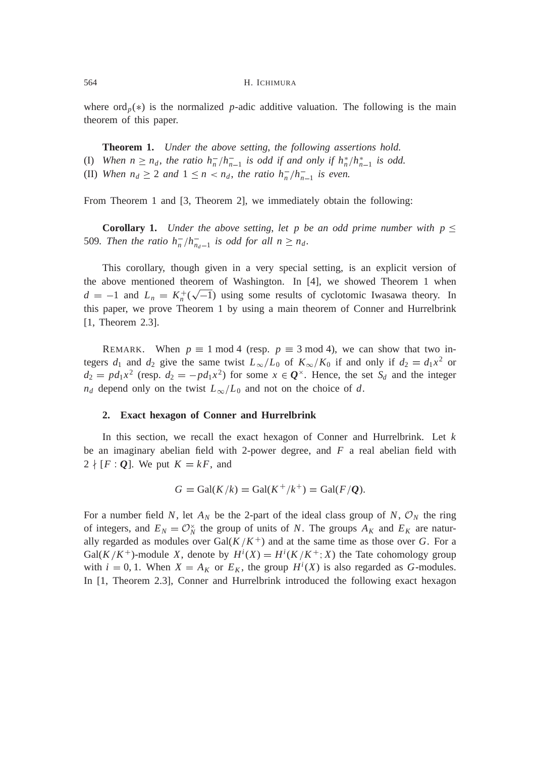where  $\text{ord}_p(*)$  is the normalized *p*-adic additive valuation. The following is the main theorem of this paper.

**Theorem 1.** *Under the above setting*, *the following assertions hold.* (I) When  $n \geq n_d$ , the ratio  $h_n^-/h_{n-1}^-$  is odd if and only if  $h_n^*/h_{n-1}^*$  is odd. (II) *When*  $n_d \geq 2$  *and*  $1 \leq n < n_d$ , *the ratio*  $h_n^-/h_{n-1}^-$  *is even.* 

From Theorem 1 and [3, Theorem 2], we immediately obtain the following:

**Corollary 1.** *Under the above setting, let p be an odd prime number with*  $p \leq$ 509. Then the ratio  $h_n^-/h_{n_d-1}^-$  is odd for all  $n \ge n_d$ .

This corollary, though given in a very special setting, is an explicit version of the above mentioned theorem of Washington. In [4], we showed Theorem 1 when  $d = -1$  and  $L_n = K_n^+(\sqrt{-1})$  using some results of cyclotomic Iwasawa theory. In this paper, we prove Theorem 1 by using a main theorem of Conner and Hurrelbrink [1, Theorem 2.3].

REMARK. When  $p \equiv 1 \mod 4$  (resp.  $p \equiv 3 \mod 4$ ), we can show that two integers  $d_1$  and  $d_2$  give the same twist  $L_\infty/L_0$  of  $K_\infty/K_0$  if and only if  $d_2 = d_1x^2$  or  $d_2 = pd_1x^2$  (resp.  $d_2 = -pd_1x^2$ ) for some  $x \in \mathbf{Q}^\times$ . Hence, the set  $S_d$  and the integer  $n_d$  depend only on the twist  $L_\infty/L_0$  and not on the choice of *d*.

### **2. Exact hexagon of Conner and Hurrelbrink**

In this section, we recall the exact hexagon of Conner and Hurrelbrink. Let *k* be an imaginary abelian field with 2-power degree, and *F* a real abelian field with  $2 \nmid [F \cdot Q]$ . We put  $K = kF$ , and

$$
G = \text{Gal}(K/k) = \text{Gal}(K^+/k^+) = \text{Gal}(F/Q).
$$

For a number field *N*, let  $A_N$  be the 2-part of the ideal class group of *N*,  $\mathcal{O}_N$  the ring of integers, and  $E_N = \mathcal{O}_N^{\times}$  the group of units of *N*. The groups  $A_K$  and  $E_K$  are naturally regarded as modules over  $Gal(K/K^+)$  and at the same time as those over G. For a  $Gal(K/K^+)$ -module X, denote by  $H^i(X) = H^i(K/K^+;X)$  the Tate cohomology group with  $i = 0, 1$ . When  $X = A_K$  or  $E_K$ , the group  $H^i(X)$  is also regarded as *G*-modules. In [1, Theorem 2.3], Conner and Hurrelbrink introduced the following exact hexagon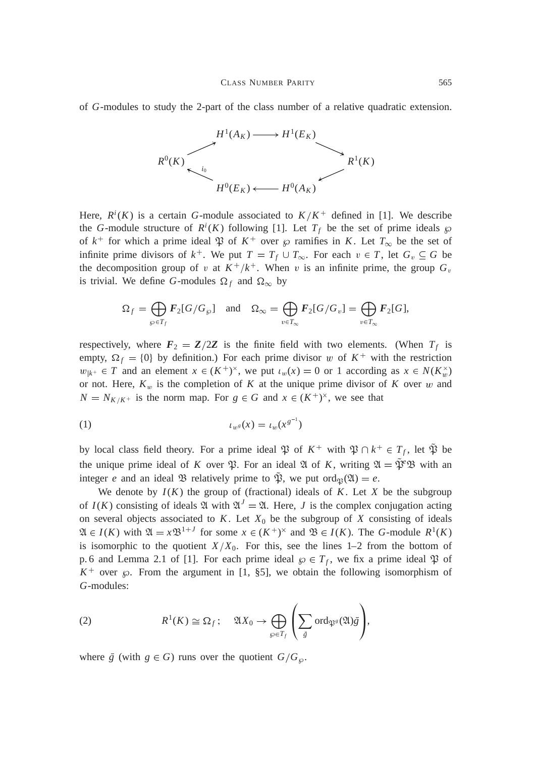of *G*-modules to study the 2-part of the class number of a relative quadratic extension.



Here,  $R^{i}(K)$  is a certain *G*-module associated to  $K/K^{+}$  defined in [1]. We describe the *G*-module structure of  $R^i(K)$  following [1]. Let  $T_f$  be the set of prime ideals  $\wp$ of  $k^+$  for which a prime ideal  $\mathfrak{P}$  of  $K^+$  over  $\wp$  ramifies in K. Let  $T_\infty$  be the set of infinite prime divisors of  $k^+$ . We put  $T = T_f \cup T_\infty$ . For each  $v \in T$ , let  $G_v \subseteq G$  be the decomposition group of v at  $K^+/k^+$ . When v is an infinite prime, the group  $G_v$ is trivial. We define *G*-modules  $\Omega_f$  and  $\Omega_\infty$  by

$$
\Omega_f = \bigoplus_{\wp \in T_f} \mathbf{F}_2[G/G_{\wp}] \quad \text{and} \quad \Omega_{\infty} = \bigoplus_{v \in T_{\infty}} \mathbf{F}_2[G/G_v] = \bigoplus_{v \in T_{\infty}} \mathbf{F}_2[G],
$$

respectively, where  $F_2 = \mathbb{Z}/2\mathbb{Z}$  is the finite field with two elements. (When  $T_f$  is empty,  $\Omega_f = \{0\}$  by definition.) For each prime divisor w of  $K^+$  with the restriction  $w_{k^+} \in T$  and an element  $x \in (K^+)^{\times}$ , we put  $\iota_w(x) = 0$  or 1 according as  $x \in N(K_w^{\times})$ or not. Here,  $K_w$  is the completion of K at the unique prime divisor of K over w and  $N = N_{K/K^+}$  is the norm map. For  $g \in G$  and  $x \in (K^+)^{\times}$ , we see that

$$
t_{w^g}(x) = t_w(x^{g^{-1}})
$$

by local class field theory. For a prime ideal  $\mathfrak{P}$  of  $K^+$  with  $\mathfrak{P} \cap k^+ \in T_f$ , let  $\mathfrak{P}$  be the unique prime ideal of *K* over  $\mathfrak{P}$ . For an ideal  $\mathfrak{A}$  of *K*, writing  $\mathfrak{A} = \mathfrak{P}^e \mathfrak{B}$  with an integer *e* and an ideal  $\mathfrak{B}$  relatively prime to  $\mathfrak{P}$ , we put ord $\mathfrak{P}(\mathfrak{A}) = e$ .

We denote by  $I(K)$  the group of (fractional) ideals of  $K$ . Let  $X$  be the subgroup of  $I(K)$  consisting of ideals  $\mathfrak A$  with  $\mathfrak A^J = \mathfrak A$ . Here, *J* is the complex conjugation acting on several objects associated to  $K$ . Let  $X_0$  be the subgroup of  $X$  consisting of ideals  $\mathfrak{A} \in I(K)$  with  $\mathfrak{A} = x \mathfrak{B}^{1+J}$  for some  $x \in (K^+)^{\times}$  and  $\mathfrak{B} \in I(K)$ . The *G*-module  $R^1(K)$ is isomorphic to the quotient  $X/X_0$ . For this, see the lines 1–2 from the bottom of p. 6 and Lemma 2.1 of [1]. For each prime ideal  $\wp \in T_f$ , we fix a prime ideal  $\mathfrak P$  of  $K^+$  over  $\wp$ . From the argument in [1, §5], we obtain the following isomorphism of *G*-modules:

(2) 
$$
R^1(K) \cong \Omega_f
$$
;  $\mathfrak{A}X_0 \to \bigoplus_{\wp \in T_f} \left( \sum_{\bar{g}} \text{ord}_{\mathfrak{P}^g}(\mathfrak{A}) \bar{g} \right),$ 

where  $\bar{g}$  (with  $g \in G$ ) runs over the quotient  $G/G_{\varphi}$ .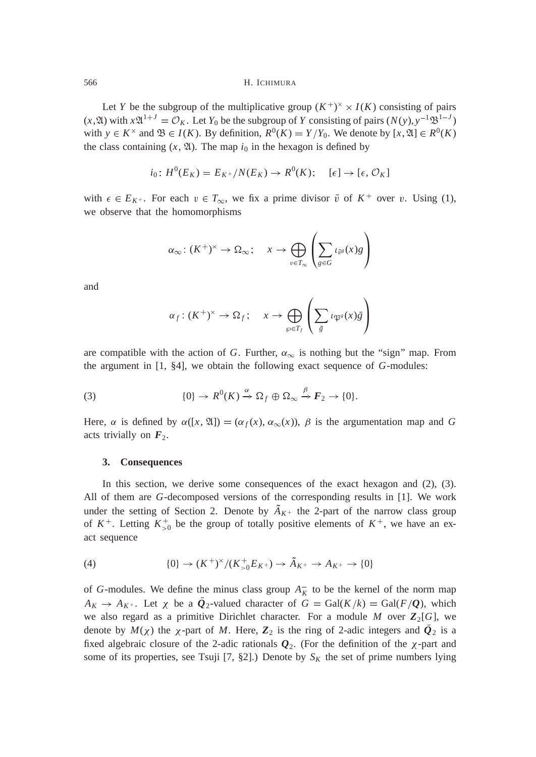Let *Y* be the subgroup of the multiplicative group  $(K^+)^{\times} \times I(K)$  consisting of pairs  $(x, \mathfrak{A})$  with  $x\mathfrak{A}^{1+J} = \mathcal{O}_K$ . Let  $Y_0$  be the subgroup of *Y* consisting of pairs  $(N(y), y^{-1}\mathfrak{B}^{1-J})$ with  $y \in K^{\times}$  and  $\mathfrak{B} \in I(K)$ . By definition,  $R^0(K) = Y/Y_0$ . We denote by  $[x, \mathfrak{A}] \in R^0(K)$ the class containing  $(x, \mathfrak{A})$ . The map  $i_0$  in the hexagon is defined by

$$
i_0: H^0(E_K) = E_{K^+}/N(E_K) \to R^0(K); \quad [\epsilon] \to [\epsilon, \mathcal{O}_K]
$$

with  $\epsilon \in E_{K^+}$ . For each  $v \in T_{\infty}$ , we fix a prime divisor  $\tilde{v}$  of  $K^+$  over v. Using (1), we observe that the homomorphisms

$$
\alpha_{\infty} : (K^+)^{\times} \to \Omega_{\infty}; \quad x \to \bigoplus_{v \in T_{\infty}} \left( \sum_{g \in G} \iota_{\tilde{v}^g}(x)g \right)
$$

 $\sim$ 

11 and 12 and 12

and

$$
\alpha_f \colon (K^+)^{\times} \to \Omega_f; \quad x \to \bigoplus_{\wp \in T_f} \left( \sum_{\bar{g}} \iota_{\mathfrak{P}^g}(x) \bar{g} \right)
$$

are compatible with the action of *G*. Further,  $\alpha_{\infty}$  is nothing but the "sign" map. From the argument in [1, §4], we obtain the following exact sequence of *G*-modules:

(3) 
$$
\{0\} \to R^0(K) \xrightarrow{\alpha} \Omega_f \oplus \Omega_\infty \xrightarrow{\beta} F_2 \to \{0\}.
$$

Here,  $\alpha$  is defined by  $\alpha([x, \mathfrak{A}]) = (\alpha_f(x), \alpha_\infty(x))$ ,  $\beta$  is the argumentation map and *G* acts trivially on  $F_2$ .

# **3. Consequences**

In this section, we derive some consequences of the exact hexagon and (2), (3). All of them are *G*-decomposed versions of the corresponding results in [1]. We work under the setting of Section 2. Denote by  $A_{K^+}$  the 2-part of the narrow class group of  $K^+$ . Letting  $K^+_{>0}$  be the group of totally positive elements of  $K^+$ , we have an exact sequence

(4) 
$$
\{0\} \to (K^+)^{\times}/(K^+_{>0}E_{K^+}) \to \tilde{A}_{K^+} \to A_{K^+} \to \{0\}
$$

of *G*-modules. We define the minus class group  $A_K^-$  to be the kernel of the norm map  $A_K \to A_{K^+}$ . Let  $\chi$  be a  $Q_2$ -valued character of  $G = \text{Gal}(K/k) = \text{Gal}(F/Q)$ , which we also regard as a primitive Dirichlet character. For a module  $M$  over  $\mathbb{Z}_2[G]$ , we denote by  $M(\chi)$  the  $\chi$ -part of M. Here,  $\mathbb{Z}_2$  is the ring of 2-adic integers and  $\mathcal{Q}_2$  is a fixed algebraic closure of the 2-adic rationals  $Q_2$ . (For the definition of the  $\chi$ -part and some of its properties, see Tsuji [7, §2].) Denote by  $S_K$  the set of prime numbers lying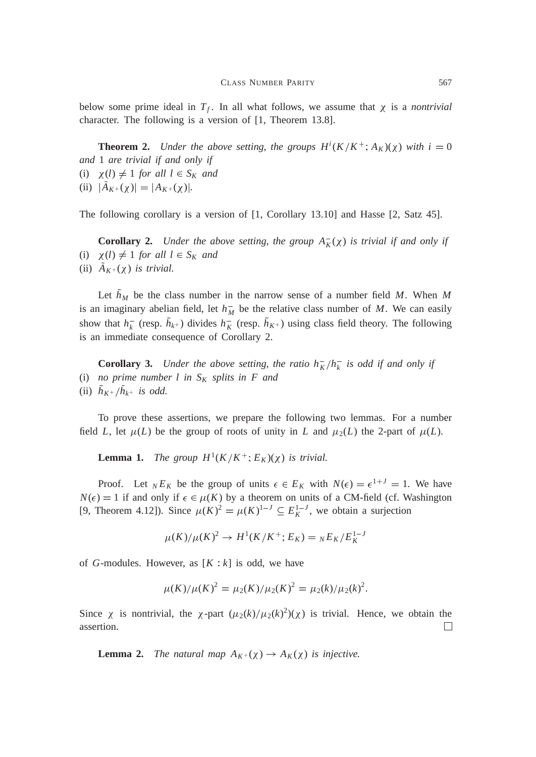below some prime ideal in  $T_f$ . In all what follows, we assume that  $\chi$  is a *nontrivial* character. The following is a version of [1, Theorem 13.8].

**Theorem 2.** *Under the above setting, the groups*  $H^{i}(K/K^{+}; A_{K})(\chi)$  *with*  $i = 0$ *and* 1 *are trivial if and only if* (i)  $\chi(l) \neq 1$  *for all*  $l \in S_K$  *and* (ii)  $|A_{K^+}(\chi)| = |A_{K^+}(\chi)|$ .

The following corollary is a version of [1, Corollary 13.10] and Hasse [2, Satz 45].

**Corollary 2.** *Under the above setting, the group*  $A_K^-(\chi)$  *is trivial if and only if* (i)  $\chi(l) \neq 1$  *for all*  $l \in S_K$  *and* (ii)  $A_{K^+}(\chi)$  *is trivial.* 

Let  $h_M$  be the class number in the narrow sense of a number field *M*. When *M* is an imaginary abelian field, let  $h_M^-$  be the relative class number of M. We can easily show that  $h_k^-$  (resp.  $h_{k^+}$ ) divides  $h_k^-$  (resp.  $h_{K^+}$ ) using class field theory. The following is an immediate consequence of Corollary 2.

**Corollary 3.** *Under the above setting, the ratio*  $h_K^-/h_k^-$  *is odd if and only if* (i) *no prime number l in S<sup>K</sup> splits in F and* (ii)  $h_{K^+}/h_{k^+}$  *is odd.* 

To prove these assertions, we prepare the following two lemmas. For a number field *L*, let  $\mu(L)$  be the group of roots of unity in *L* and  $\mu_2(L)$  the 2-part of  $\mu(L)$ .

**Lemma 1.** *The group*  $H^1(K/K^+; E_K)(\chi)$  *is trivial.* 

Proof. Let  $_{N}E_{K}$  be the group of units  $\epsilon \in E_{K}$  with  $N(\epsilon) = \epsilon^{1+J} = 1$ . We have  $N(\epsilon) = 1$  if and only if  $\epsilon \in \mu(K)$  by a theorem on units of a CM-field (cf. Washington [9, Theorem 4.12]). Since  $\mu(K)^2 = \mu(K)^{1-J} \subseteq E_K^{1-J}$ , we obtain a surjection

$$
\mu(K)/\mu(K)^2 \to H^1(K/K^+; E_K) = {}_N E_K/E_K^{1-J}
$$

of *G*-modules. However, as  $[K : k]$  is odd, we have

$$
\mu(K)/\mu(K)^{2} = \mu_{2}(K)/\mu_{2}(K)^{2} = \mu_{2}(k)/\mu_{2}(k)^{2}.
$$

Since  $\chi$  is nontrivial, the  $\chi$ -part  $(\mu_2(k)/\mu_2(k)^2)(\chi)$  is trivial. Hence, we obtain the assertion.  $\Box$ 

**Lemma 2.** *The natural map*  $A_K$ + $(\chi)$   $\rightarrow$   $A_K(\chi)$  *is injective.*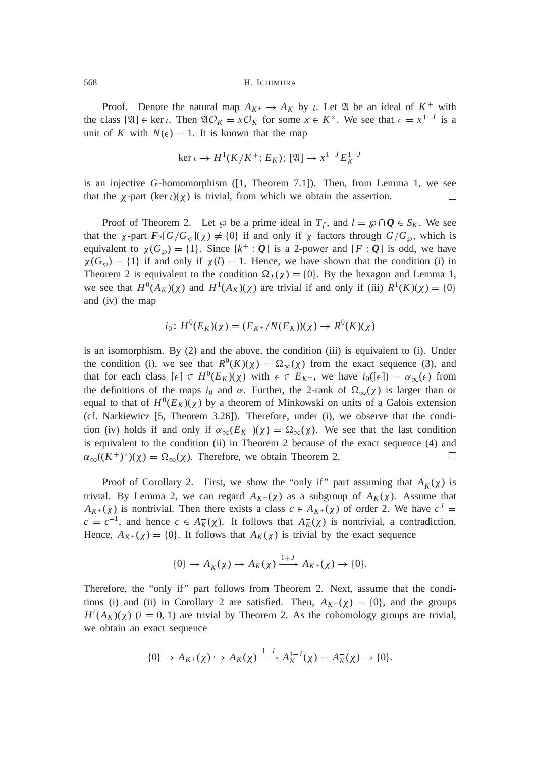Proof. Denote the natural map  $A_{K^+} \to A_K$  by *i*. Let  $\mathfrak A$  be an ideal of  $K^+$  with the class  $[\mathfrak{A}] \in \ker \iota$ . Then  $\mathfrak{A} \mathcal{O}_K = x \mathcal{O}_K$  for some  $x \in K^\times$ . We see that  $\epsilon = x^{1-J}$  is a unit of *K* with  $N(\epsilon) = 1$ . It is known that the map

$$
\ker \iota \to H^1(K/K^+; E_K); [\mathfrak{A}] \to x^{1-J} E_K^{1-J}
$$

is an injective *G*-homomorphism ([1, Theorem 7.1]). Then, from Lemma 1, we see that the  $\chi$ -part (ker  $\iota$ )( $\chi$ ) is trivial, from which we obtain the assertion.  $\Box$ 

Proof of Theorem 2. Let  $\wp$  be a prime ideal in  $T_f$ , and  $l = \wp \cap \mathbf{Q} \in S_K$ . We see that the  $\chi$ -part  $F_2[G/G_{\varphi}](\chi) \neq \{0\}$  if and only if  $\chi$  factors through  $G/G_{\varphi}$ , which is equivalent to  $\chi(G_{\varnothing}) = \{1\}$ . Since  $[k^+ : Q]$  is a 2-power and  $[F : Q]$  is odd, we have  $\chi(G_{\wp}) = \{1\}$  if and only if  $\chi(l) = 1$ . Hence, we have shown that the condition (i) in Theorem 2 is equivalent to the condition  $\Omega_f(\chi) = \{0\}$ . By the hexagon and Lemma 1, we see that  $H^0(A_K)(\chi)$  and  $H^1(A_K)(\chi)$  are trivial if and only if (iii)  $R^1(K)(\chi) = \{0\}$ and (iv) the map

$$
i_0\colon H^0(E_K)(\chi) = (E_{K^+}/N(E_K))(\chi) \to R^0(K)(\chi)
$$

is an isomorphism. By (2) and the above, the condition (iii) is equivalent to (i). Under the condition (i), we see that  $R^0(K)(\chi) = \Omega_{\infty}(\chi)$  from the exact sequence (3), and that for each class  $[\epsilon] \in H^0(E_K)(\chi)$  with  $\epsilon \in E_{K^+}$ , we have  $i_0([\epsilon]) = \alpha_{\infty}(\epsilon)$  from the definitions of the maps  $i_0$  and  $\alpha$ . Further, the 2-rank of  $\Omega_{\infty}(\chi)$  is larger than or equal to that of  $H^0(E_K)(\chi)$  by a theorem of Minkowski on units of a Galois extension (cf. Narkiewicz [5, Theorem 3.26]). Therefore, under (i), we observe that the condition (iv) holds if and only if  $\alpha_{\infty}(E_{K^+})(\chi) = \Omega_{\infty}(\chi)$ . We see that the last condition is equivalent to the condition (ii) in Theorem 2 because of the exact sequence (4) and  $\alpha_{\infty}((K^+)^{\times})(\chi) = \Omega_{\infty}(\chi)$ . Therefore, we obtain Theorem 2. П

Proof of Corollary 2. First, we show the "only if" part assuming that  $A_K^-(\chi)$  is trivial. By Lemma 2, we can regard  $A_{K+}(\chi)$  as a subgroup of  $A_K(\chi)$ . Assume that  $A_{K^+}(\chi)$  is nontrivial. Then there exists a class  $c \in A_{K^+}(\chi)$  of order 2. We have  $c^J =$  $c = c^{-1}$ , and hence  $c \in A_K^-(\chi)$ . It follows that  $A_K^-(\chi)$  is nontrivial, a contradiction. Hence,  $A_{K^+}(\chi) = \{0\}$ . It follows that  $A_K(\chi)$  is trivial by the exact sequence

$$
\{0\} \to A_K^-(\chi) \to A_K(\chi) \xrightarrow{1+J} A_{K^+}(\chi) \to \{0\}.
$$

Therefore, the "only if" part follows from Theorem 2. Next, assume that the conditions (i) and (ii) in Corollary 2 are satisfied. Then,  $A_{K^+}(\chi) = \{0\}$ , and the groups  $H^{i}(A_K)(\chi)$  (*i* = 0, 1) are trivial by Theorem 2. As the cohomology groups are trivial, we obtain an exact sequence

$$
\{0\} \to A_{K^+}(\chi) \hookrightarrow A_K(\chi) \xrightarrow{1-J} A_K^{1-J}(\chi) = A_K^-(\chi) \to \{0\}.
$$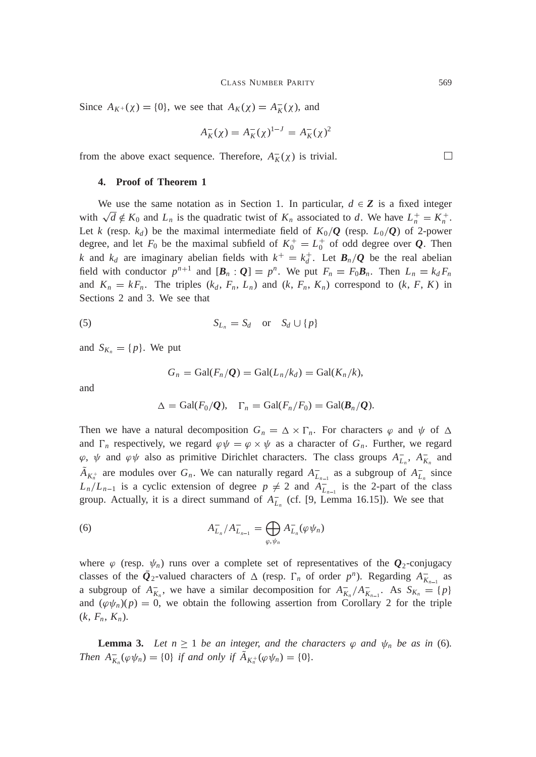Since  $A_{K^+}(\chi) = \{0\}$ , we see that  $A_K(\chi) = A_K^-(\chi)$ , and

$$
A_K^-(\chi) = A_K^-(\chi)^{1-J} = A_K^-(\chi)^2
$$

from the above exact sequence. Therefore,  $A_K^-(\chi)$  is trivial.

# **4. Proof of Theorem 1**

We use the same notation as in Section 1. In particular,  $d \in \mathbb{Z}$  is a fixed integer with  $\sqrt{d} \notin K_0$  and  $L_n$  is the quadratic twist of  $K_n$  associated to *d*. We have  $L_n^+ = K_n^+$ . Let *k* (resp.  $k_d$ ) be the maximal intermediate field of  $K_0/Q$  (resp.  $L_0/Q$ ) of 2-power degree, and let  $F_0$  be the maximal subfield of  $K_0^+ = L_0^+$  of odd degree over  $Q$ . Then *k* and  $k_d$  are imaginary abelian fields with  $k^+ = k_d^+$ . Let  $B_n/Q$  be the real abelian field with conductor  $p^{n+1}$  and  $[\mathbf{B}_n : \mathbf{Q}] = p^n$ . We put  $F_n = F_0 \mathbf{B}_n$ . Then  $L_n = k_d F_n$ and  $K_n = kF_n$ . The triples  $(k_d, F_n, L_n)$  and  $(k, F_n, K_n)$  correspond to  $(k, F, K)$  in Sections 2 and 3. We see that

$$
(5) \tS_{L_n} = S_d \t or \tS_d \cup \{p\}
$$

and  $S_{K_n} = \{p\}$ . We put

$$
G_n = \text{Gal}(F_n/\mathcal{Q}) = \text{Gal}(L_n/k_d) = \text{Gal}(K_n/k),
$$

and

$$
\Delta = \text{Gal}(F_0/\mathcal{Q}), \quad \Gamma_n = \text{Gal}(F_n/F_0) = \text{Gal}(\mathcal{B}_n/\mathcal{Q}).
$$

Then we have a natural decomposition  $G_n = \Delta \times \Gamma_n$ . For characters  $\varphi$  and  $\psi$  of  $\Delta$ and  $\Gamma_n$  respectively, we regard  $\varphi \psi = \varphi \times \psi$  as a character of  $G_n$ . Further, we regard  $\varphi$ ,  $\psi$  and  $\varphi\psi$  also as primitive Dirichlet characters. The class groups  $A_{L_n}^-$ ,  $A_{K_n}^-$  and  $A_{K_n^+}$  are modules over  $G_n$ . We can naturally regard  $A_{L_{n-1}}^-$  as a subgroup of  $A_{L_n}^-$  since  $L_n/L_{n-1}$  is a cyclic extension of degree  $p \neq 2$  and  $A_{L_{n-1}}^-$  is the 2-part of the class group. Actually, it is a direct summand of  $A_{L_n}^-$  (cf. [9, Lemma 16.15]). We see that

(6) 
$$
A_{L_n}^- / A_{L_{n-1}}^- = \bigoplus_{\varphi, \psi_n} A_{L_n}^- (\varphi \psi_n)
$$

where  $\varphi$  (resp.  $\psi_n$ ) runs over a complete set of representatives of the  $\mathbf{Q}_2$ -conjugacy classes of the  $\bar{Q}_2$ -valued characters of  $\Delta$  (resp.  $\Gamma_n$  of order  $p^n$ ). Regarding  $A^-_{K_{n-1}}$  as a subgroup of  $A_{K_n}^-$ , we have a similar decomposition for  $A_{K_n}^-/A_{K_{n-1}}^-$ . As  $S_{K_n} = \{p\}$ and  $(\varphi \psi_n)(p) = 0$ , we obtain the following assertion from Corollary 2 for the triple  $(k, F_n, K_n)$ .

**Lemma 3.** Let  $n \geq 1$  be an integer, and the characters  $\varphi$  and  $\psi_n$  be as in (6). *Then*  $A_{K_n}^- (\varphi \psi_n) = \{0\}$  *if and only if*  $A_{K_n^+} (\varphi \psi_n) = \{0\}.$ 

 $\Box$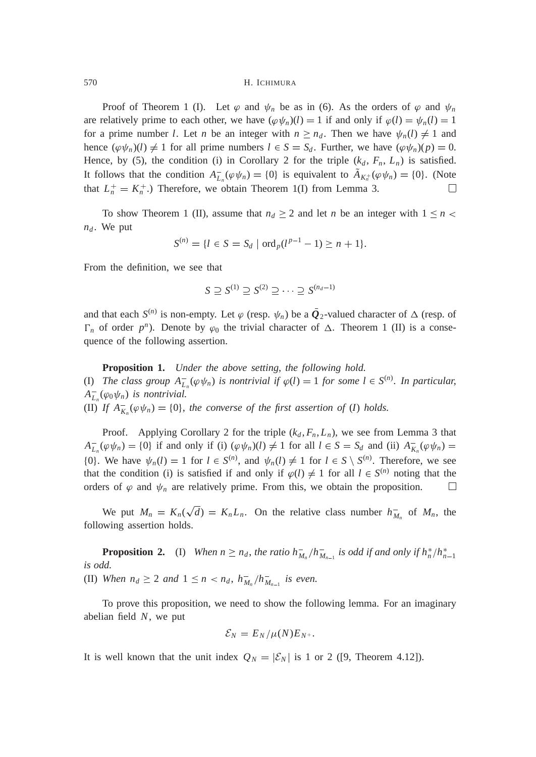Proof of Theorem 1 (I). Let  $\varphi$  and  $\psi_n$  be as in (6). As the orders of  $\varphi$  and  $\psi_n$ are relatively prime to each other, we have  $(\varphi \psi_n)(l) = 1$  if and only if  $\varphi(l) = \psi_n(l) = 1$ for a prime number *l*. Let *n* be an integer with  $n \geq n_d$ . Then we have  $\psi_n(l) \neq 1$  and hence  $(\varphi \psi_n)(l) \neq 1$  for all prime numbers  $l \in S = S_d$ . Further, we have  $(\varphi \psi_n)(p) = 0$ . Hence, by (5), the condition (i) in Corollary 2 for the triple  $(k_d, F_n, L_n)$  is satisfied. It follows that the condition  $A_{L_n}^-(\varphi \psi_n) = \{0\}$  is equivalent to  $A_{K_n^+}(\varphi \psi_n) = \{0\}$ . (Note that  $L_n^+ = K_n^+$ .) Therefore, we obtain Theorem 1(I) from Lemma 3.  $\Box$ 

To show Theorem 1 (II), assume that  $n_d \geq 2$  and let *n* be an integer with  $1 \leq n$  $n_d$ . We put

$$
S^{(n)} = \{l \in S = S_d \mid \text{ord}_p(l^{p-1} - 1) \ge n + 1\}.
$$

From the definition, we see that

$$
S \supseteq S^{(1)} \supseteq S^{(2)} \supseteq \cdots \supseteq S^{(n_d-1)}
$$

and that each  $S^{(n)}$  is non-empty. Let  $\varphi$  (resp.  $\psi_n$ ) be a  $\bar{Q}_2$ -valued character of  $\Delta$  (resp. of  $\Gamma_n$  of order  $p^n$ ). Denote by  $\varphi_0$  the trivial character of  $\Delta$ . Theorem 1 (II) is a consequence of the following assertion.

**Proposition 1.** *Under the above setting*, *the following hold.* (I) *The class group*  $A_{L_n}^-(\varphi \psi_n)$  *is nontrivial if*  $\varphi(l) = 1$  *for some*  $l \in S^{(n)}$ *. In particular,*  $A_{L_n}^-(\varphi_0 \psi_n)$  *is nontrivial.* (II) If  $A_{K_n}^- (\varphi \psi_n) = \{0\}$ , the converse of the first assertion of (*I*) holds.

Proof. Applying Corollary 2 for the triple  $(k_d, F_n, L_n)$ , we see from Lemma 3 that  $A_{L_n}^-(\varphi\psi_n) = \{0\}$  if and only if (i)  $(\varphi\psi_n)(l) \neq 1$  for all  $l \in S = S_d$  and (ii)  $A_{K_n}^-(\varphi\psi_n) =$ {0}. We have  $\psi_n(l) = 1$  for  $l \in S^{(n)}$ , and  $\psi_n(l) \neq 1$  for  $l \in S \setminus S^{(n)}$ . Therefore, we see that the condition (i) is satisfied if and only if  $\varphi(l) \neq 1$  for all  $l \in S^{(n)}$  noting that the orders of  $\varphi$  and  $\psi_n$  are relatively prime. From this, we obtain the proposition.  $\Box$ 

We put  $M_n = K_n(\sqrt{d}) = K_n L_n$ . On the relative class number  $h_{M_n}^-$  of  $M_n$ , the following assertion holds.

**Proposition 2.** (I) When  $n \ge n_d$ , the ratio  $h_{M_n}^-/h_{M_{n-1}}^-$  is odd if and only if  $h_n^*/h_{n-1}^*$ *is odd.* (II) *When*  $n_d \geq 2$  *and*  $1 \leq n < n_d$ ,  $h_{M_n}^-/h_{M_{n-1}}^-$  *is even.* 

To prove this proposition, we need to show the following lemma. For an imaginary abelian field *N*, we put

$$
\mathcal{E}_N = E_N / \mu(N) E_{N^+}.
$$

It is well known that the unit index  $Q_N = |\mathcal{E}_N|$  is 1 or 2 ([9, Theorem 4.12]).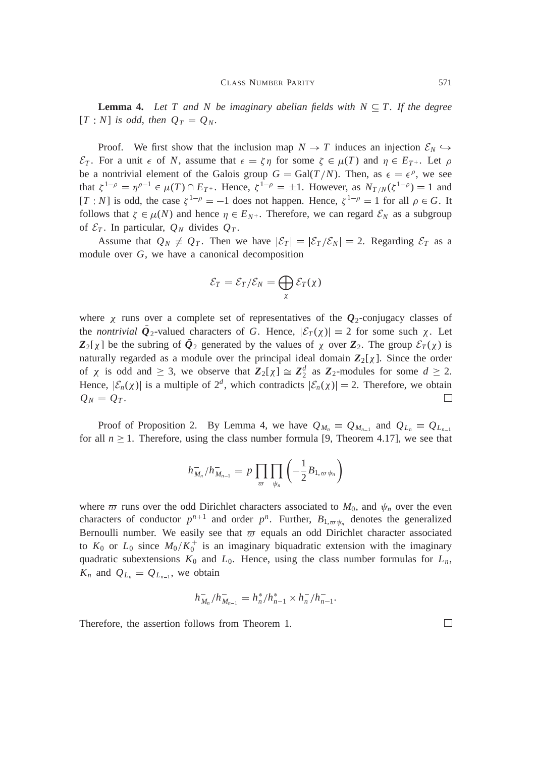**Lemma 4.** Let T and N be imaginary abelian fields with  $N \subseteq T$ . If the degree  $[T : N]$  *is odd, then*  $Q_T = Q_N$ *.* 

Proof. We first show that the inclusion map  $N \to T$  induces an injection  $\mathcal{E}_N \hookrightarrow$  $\mathcal{E}_T$ . For a unit  $\epsilon$  of *N*, assume that  $\epsilon = \zeta \eta$  for some  $\zeta \in \mu(T)$  and  $\eta \in E_{T^+}$ . Let  $\rho$ be a nontrivial element of the Galois group  $G = \text{Gal}(T/N)$ . Then, as  $\epsilon = \epsilon^{\rho}$ , we see that  $\zeta^{1-\rho} = \eta^{\rho-1} \in \mu(T) \cap E_{T^+}$ . Hence,  $\zeta^{1-\rho} = \pm 1$ . However, as  $N_{T/N}(\zeta^{1-\rho}) = 1$  and [*T* : *N*] is odd, the case  $\zeta^{1-\rho} = -1$  does not happen. Hence,  $\zeta^{1-\rho} = 1$  for all  $\rho \in G$ . It follows that  $\zeta \in \mu(N)$  and hence  $\eta \in E_{N^+}$ . Therefore, we can regard  $\mathcal{E}_N$  as a subgroup of  $\mathcal{E}_T$ . In particular,  $Q_N$  divides  $Q_T$ .

Assume that  $Q_N \neq Q_T$ . Then we have  $|\mathcal{E}_T| = |\mathcal{E}_T/\mathcal{E}_N| = 2$ . Regarding  $\mathcal{E}_T$  as a module over *G*, we have a canonical decomposition

$$
\mathcal{E}_T = \mathcal{E}_T / \mathcal{E}_N = \bigoplus_{\chi} \mathcal{E}_T(\chi)
$$

where  $\chi$  runs over a complete set of representatives of the  $\mathcal{Q}_2$ -conjugacy classes of the *nontrivial*  $\bar{Q}_2$ -valued characters of *G*. Hence,  $|\mathcal{E}_T(\chi)| = 2$  for some such  $\chi$ . Let  $Z_2[\chi]$  be the subring of  $\bar{Q}_2$  generated by the values of  $\chi$  over  $Z_2$ . The group  $\mathcal{E}_T(\chi)$  is naturally regarded as a module over the principal ideal domain  $\mathbb{Z}_2[\chi]$ . Since the order of  $\chi$  is odd and  $\geq 3$ , we observe that  $\mathbb{Z}_2[\chi] \cong \mathbb{Z}_2^d$  as  $\mathbb{Z}_2$ -modules for some  $d \geq 2$ . Hence,  $|\mathcal{E}_n(\chi)|$  is a multiple of  $2^d$ , which contradicts  $|\mathcal{E}_n(\chi)| = 2$ . Therefore, we obtain П  $Q_N = Q_T$ .

Proof of Proposition 2. By Lemma 4, we have  $Q_{M_n} = Q_{M_{n-1}}$  and  $Q_{L_n} = Q_{L_{n-1}}$ for all  $n \geq 1$ . Therefore, using the class number formula [9, Theorem 4.17], we see that

$$
h_{M_n}^-/h_{M_{n-1}}^- = p \prod_{\varpi} \prod_{\psi_n} \left(-\frac{1}{2}B_{1,\varpi \psi_n}\right)
$$

where  $\varpi$  runs over the odd Dirichlet characters associated to  $M_0$ , and  $\psi_n$  over the even characters of conductor  $p^{n+1}$  and order  $p^n$ . Further,  $B_{1,\varpi \psi_n}$  denotes the generalized Bernoulli number. We easily see that  $\varpi$  equals an odd Dirichlet character associated to  $K_0$  or  $L_0$  since  $M_0/K_0^+$  is an imaginary biquadratic extension with the imaginary quadratic subextensions  $K_0$  and  $L_0$ . Hence, using the class number formulas for  $L_n$ ,  $K_n$  and  $Q_{L_n} = Q_{L_{n-1}}$ , we obtain

$$
h_{M_n}^-/h_{M_{n-1}}^- = h_n^*/h_{n-1}^* \times h_n^-/h_{n-1}^-.
$$

Therefore, the assertion follows from Theorem 1.

 $\Box$